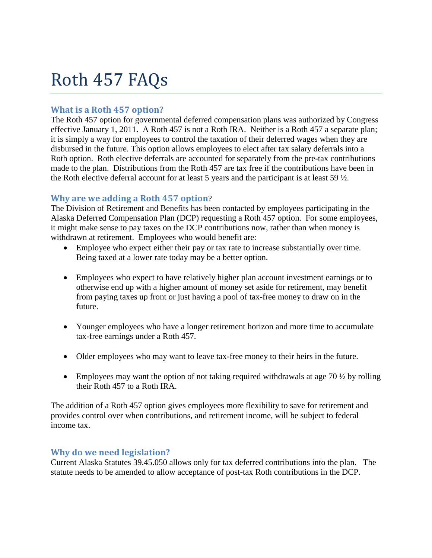# Roth 457 FAQs

# **What is a Roth 457 option?**

The Roth 457 option for governmental deferred compensation plans was authorized by Congress effective January 1, 2011. A Roth 457 is not a Roth IRA. Neither is a Roth 457 a separate plan; it is simply a way for employees to control the taxation of their deferred wages when they are disbursed in the future. This option allows employees to elect after tax salary deferrals into a Roth option. Roth elective deferrals are accounted for separately from the pre-tax contributions made to the plan. Distributions from the Roth 457 are tax free if the contributions have been in the Roth elective deferral account for at least 5 years and the participant is at least 59 ½.

### **Why are we adding a Roth 457 option**?

The Division of Retirement and Benefits has been contacted by employees participating in the Alaska Deferred Compensation Plan (DCP) requesting a Roth 457 option. For some employees, it might make sense to pay taxes on the DCP contributions now, rather than when money is withdrawn at retirement. Employees who would benefit are:

- Employee who expect either their pay or tax rate to increase substantially over time. Being taxed at a lower rate today may be a better option.
- Employees who expect to have relatively higher plan account investment earnings or to otherwise end up with a higher amount of money set aside for retirement, may benefit from paying taxes up front or just having a pool of tax-free money to draw on in the future.
- Younger employees who have a longer retirement horizon and more time to accumulate tax-free earnings under a Roth 457.
- Older employees who may want to leave tax-free money to their heirs in the future.
- Employees may want the option of not taking required withdrawals at age  $70\frac{1}{2}$  by rolling their Roth 457 to a Roth IRA.

The addition of a Roth 457 option gives employees more flexibility to save for retirement and provides control over when contributions, and retirement income, will be subject to federal income tax.

# **Why do we need legislation?**

Current Alaska Statutes 39.45.050 allows only for tax deferred contributions into the plan. The statute needs to be amended to allow acceptance of post-tax Roth contributions in the DCP.